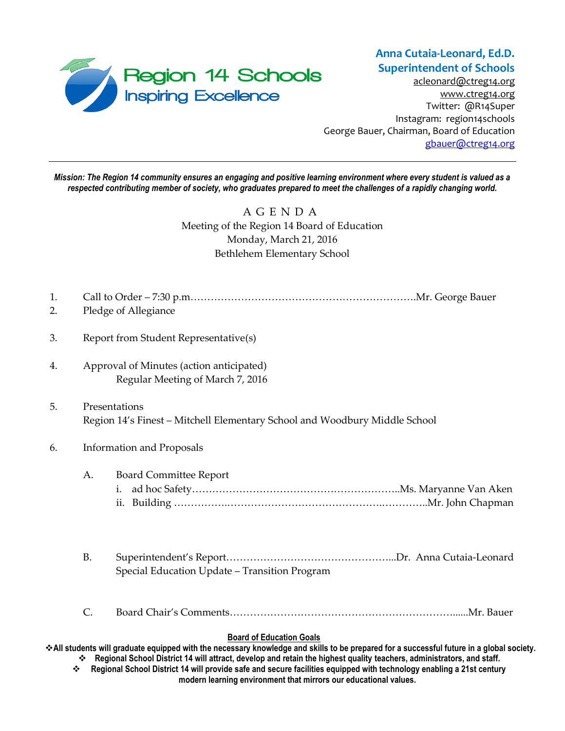

[acleonard@ctreg14.org](mailto:acleonard@ctreg14.org) [www.ctreg14.org](http://www.ctreg14.org/) Twitter: @R14Super Instagram: region14schools George Bauer, Chairman, Board of Education [gbauer@ctreg14.org](mailto:gbauer@ctreg14.org)

*Mission: The Region 14 community ensures an engaging and positive learning environment where every student is valued as a respected contributing member of society, who graduates prepared to meet the challenges of a rapidly changing world.*

# A G E N D A Meeting of the Region 14 Board of Education Monday, March 21, 2016 Bethlehem Elementary School

| 1.<br>2. |                                                                                             | Pledge of Allegiance                                                         |  |
|----------|---------------------------------------------------------------------------------------------|------------------------------------------------------------------------------|--|
| 3.       | Report from Student Representative(s)                                                       |                                                                              |  |
| 4.       |                                                                                             | Approval of Minutes (action anticipated)<br>Regular Meeting of March 7, 2016 |  |
| 5.       | Presentations<br>Region 14's Finest - Mitchell Elementary School and Woodbury Middle School |                                                                              |  |
| 6.       |                                                                                             | <b>Information and Proposals</b>                                             |  |
|          | A.                                                                                          | <b>Board Committee Report</b>                                                |  |
|          | <b>B.</b>                                                                                   | Special Education Update - Transition Program                                |  |
|          | $\mathsf{C}.$                                                                               |                                                                              |  |

#### **Board of Education Goals**

**All students will graduate equipped with the necessary knowledge and skills to be prepared for a successful future in a global society. Regional School District 14 will attract, develop and retain the highest quality teachers, administrators, and staff.**

 **Regional School District 14 will provide safe and secure facilities equipped with technology enabling a 21st century modern learning environment that mirrors our educational values.**